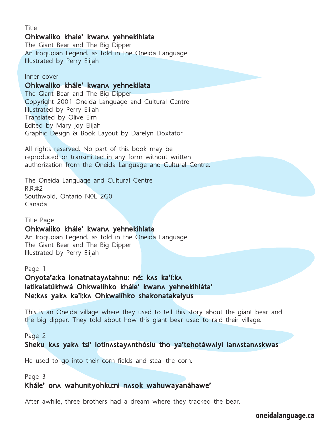## **Title Ohkwaliko khale' kwanʌ yehnekihlata**

The Giant Bear and The Big Dipper An Iroquoian Legend, as told in the Oneida Language Illustrated by Perry Elijah

#### Inner cover

## **Ohkwaliko khále' kwanʌ yehnekilata**

The Giant Bear and The Big Dipper Copyright 2001 Oneida Language and Cultural Centre Illustrated by Perry Elijah Translated by Olive Elm Edited by Mary Joy Elijah Graphic Design & Book Layout by Darelyn Doxtator

All rights reserved. No part of this book may be reproduced or transmitted in any form without written authorization from the Oneida Language and Cultural Centre.

The Oneida Language and Cultural Centre R.R.#2 Southwold, Ontario N0L 2G0 Canada

#### Title Page

## **Ohkwaliko khále' kwanʌ yehnekihlata**

An Iroquoian Legend, as told in the Oneida Language The Giant Bear and The Big Dipper Illustrated by Perry Elijah

#### Page 1

## **Onyota'a:ka lonatnatayʌtahnu: né: kʌs ka'í:kʌ latikalatúkhwá Ohkwalíhko khále' kwanʌ yehnekihláta' Ne:kʌs yakʌ ka'i:kʌ Ohkwalíhko shakonatakalyus**

This is an Oneida village where they used to tell this story about the giant bear and the big dipper. They told about how this giant bear used to raid their village.

Page 2

**Sheku kʌs yakʌ tsi' lotinʌstayʌnthóslu tho ya'tehotáwʌlyi lanʌstanʌskwas**

He used to go into their corn fields and steal the corn.

#### Page 3

## **Khále' onʌ wahunityohku:ni nʌsok wahuwayanáhawe'**

After awhile, three brothers had a dream where they tracked the bear.

**oneidalanguage.ca**